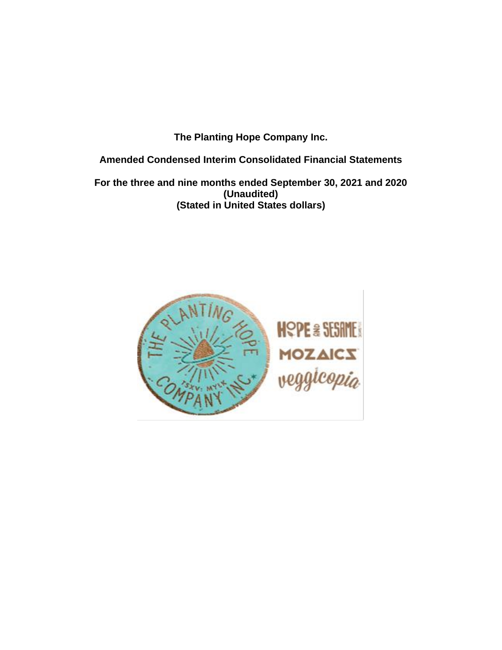**The Planting Hope Company Inc.**

**Amended Condensed Interim Consolidated Financial Statements**

**For the three and nine months ended September 30, 2021 and 2020 (Unaudited) (Stated in United States dollars)**

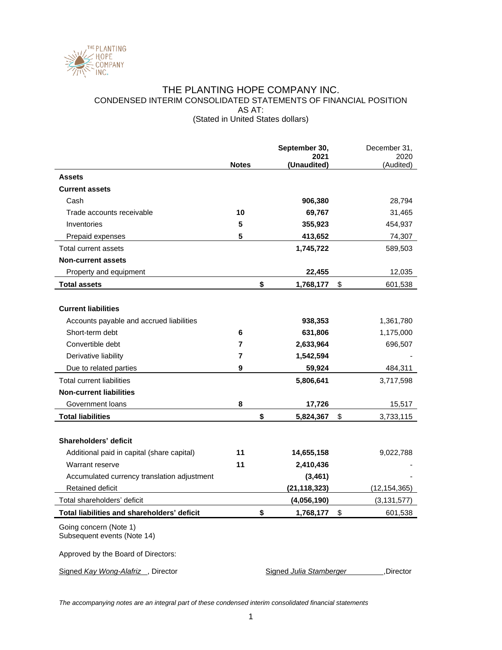

## THE PLANTING HOPE COMPANY INC. CONDENSED INTERIM CONSOLIDATED STATEMENTS OF FINANCIAL POSITION AS AT: (Stated in United States dollars)

|                                                                                              |              | September 30,       | December 31,      |
|----------------------------------------------------------------------------------------------|--------------|---------------------|-------------------|
|                                                                                              | <b>Notes</b> | 2021<br>(Unaudited) | 2020<br>(Audited) |
| <b>Assets</b>                                                                                |              |                     |                   |
| <b>Current assets</b>                                                                        |              |                     |                   |
| Cash                                                                                         |              | 906,380             | 28,794            |
| Trade accounts receivable                                                                    | 10           | 69,767              | 31,465            |
| Inventories                                                                                  | 5            | 355,923             | 454,937           |
| Prepaid expenses                                                                             | 5            | 413,652             | 74,307            |
| Total current assets                                                                         |              | 1,745,722           | 589,503           |
| <b>Non-current assets</b>                                                                    |              |                     |                   |
| Property and equipment                                                                       |              | 22,455              | 12,035            |
| <b>Total assets</b>                                                                          |              | \$<br>1,768,177     | \$<br>601,538     |
|                                                                                              |              |                     |                   |
| <b>Current liabilities</b>                                                                   |              |                     |                   |
| Accounts payable and accrued liabilities                                                     |              | 938,353             | 1,361,780         |
| Short-term debt                                                                              | 6            | 631,806             | 1,175,000         |
| Convertible debt                                                                             | 7            | 2,633,964           | 696,507           |
| Derivative liability                                                                         | 7            | 1,542,594           |                   |
| Due to related parties                                                                       | 9            | 59,924              | 484,311           |
| Total current liabilities                                                                    |              | 5,806,641           | 3,717,598         |
| <b>Non-current liabilities</b>                                                               |              |                     |                   |
| Government loans                                                                             | 8            | 17,726              | 15,517            |
| <b>Total liabilities</b>                                                                     |              | \$<br>5,824,367     | \$<br>3,733,115   |
|                                                                                              |              |                     |                   |
| Shareholders' deficit                                                                        |              |                     |                   |
| Additional paid in capital (share capital)                                                   | 11           | 14,655,158          | 9,022,788         |
| Warrant reserve                                                                              | 11           | 2,410,436           |                   |
| Accumulated currency translation adjustment                                                  |              | (3, 461)            |                   |
| Retained deficit                                                                             |              | (21, 118, 323)      | (12,154,365)      |
| Total shareholders' deficit                                                                  |              | (4,056,190)         | (3, 131, 577)     |
| Total liabilities and shareholders' deficit                                                  |              | \$<br>1,768,177     | \$<br>601,538     |
| Going concern (Note 1)<br>Subsequent events (Note 14)<br>Approved by the Board of Directors: |              |                     |                   |

Signed *Kay Wong-Alafriz*, Director **Signed** *Julia Stamberger*, Director

*The accompanying notes are an integral part of these condensed interim consolidated financial statements*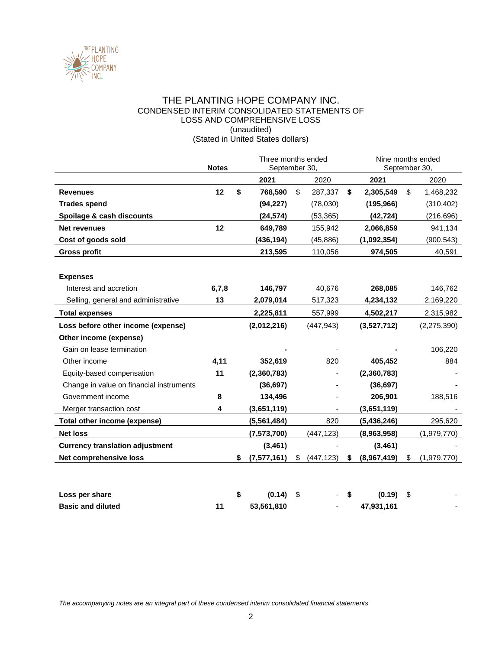

## THE PLANTING HOPE COMPANY INC. CONDENSED INTERIM CONSOLIDATED STATEMENTS OF LOSS AND COMPREHENSIVE LOSS (unaudited) (Stated in United States dollars)

|                                          | <b>Notes</b> |                     | Three months ended<br>September 30. |            |    |             |    | Nine months ended<br>September 30 |  |
|------------------------------------------|--------------|---------------------|-------------------------------------|------------|----|-------------|----|-----------------------------------|--|
|                                          |              | 2021                |                                     | 2020       |    | 2021        |    | 2020                              |  |
| <b>Revenues</b>                          | 12           | \$<br>768,590       | \$                                  | 287,337    | \$ | 2,305,549   | \$ | 1,468,232                         |  |
| <b>Trades spend</b>                      |              | (94, 227)           |                                     | (78,030)   |    | (195, 966)  |    | (310, 402)                        |  |
| Spoilage & cash discounts                |              | (24, 574)           |                                     | (53, 365)  |    | (42, 724)   |    | (216, 696)                        |  |
| <b>Net revenues</b>                      | 12           | 649,789             |                                     | 155,942    |    | 2,066,859   |    | 941,134                           |  |
| Cost of goods sold                       |              | (436, 194)          |                                     | (45, 886)  |    | (1,092,354) |    | (900, 543)                        |  |
| <b>Gross profit</b>                      |              | 213,595             |                                     | 110,056    |    | 974,505     |    | 40,591                            |  |
|                                          |              |                     |                                     |            |    |             |    |                                   |  |
| <b>Expenses</b>                          |              |                     |                                     |            |    |             |    |                                   |  |
| Interest and accretion                   | 6,7,8        | 146,797             |                                     | 40,676     |    | 268,085     |    | 146,762                           |  |
| Selling, general and administrative      | 13           | 2,079,014           |                                     | 517,323    |    | 4,234,132   |    | 2,169,220                         |  |
| <b>Total expenses</b>                    |              | 2,225,811           |                                     | 557,999    |    | 4,502,217   |    | 2,315,982                         |  |
| Loss before other income (expense)       |              | (2,012,216)         |                                     | (447,943)  |    | (3,527,712) |    | (2,275,390)                       |  |
| Other income (expense)                   |              |                     |                                     |            |    |             |    |                                   |  |
| Gain on lease termination                |              |                     |                                     |            |    |             |    | 106,220                           |  |
| Other income                             | 4,11         | 352,619             |                                     | 820        |    | 405,452     |    | 884                               |  |
| Equity-based compensation                | 11           | (2,360,783)         |                                     |            |    | (2,360,783) |    |                                   |  |
| Change in value on financial instruments |              | (36, 697)           |                                     |            |    | (36, 697)   |    |                                   |  |
| Government income                        | 8            | 134,496             |                                     |            |    | 206,901     |    | 188,516                           |  |
| Merger transaction cost                  | 4            | (3,651,119)         |                                     |            |    | (3,651,119) |    |                                   |  |
| <b>Total other income (expense)</b>      |              | (5,561,484)         |                                     | 820        |    | (5,436,246) |    | 295,620                           |  |
| <b>Net loss</b>                          |              | (7, 573, 700)       |                                     | (447, 123) |    | (8,963,958) |    | (1,979,770)                       |  |
| <b>Currency translation adjustment</b>   |              | (3, 461)            |                                     |            |    | (3, 461)    |    |                                   |  |
| Net comprehensive loss                   |              | \$<br>(7, 577, 161) | \$                                  | (447, 123) | \$ | (8,967,419) | \$ | (1,979,770)                       |  |
| Loss per share                           |              | \$<br>(0.14)        | \$                                  |            | \$ | (0.19)      | \$ |                                   |  |

**Basic and diluted 11 53,561,810** - **47,931,161** -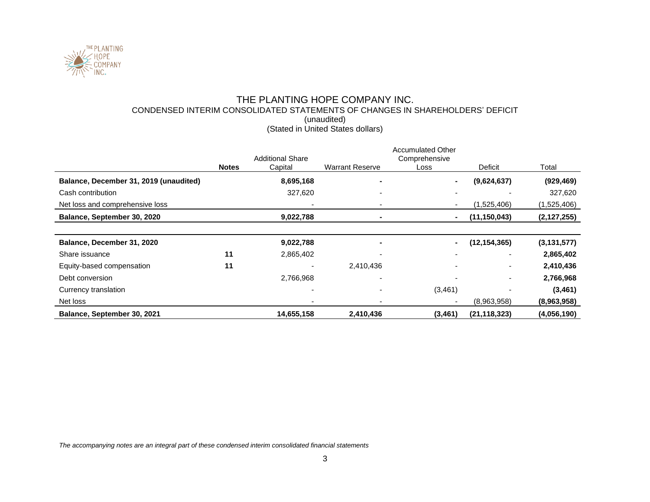

# THE PLANTING HOPE COMPANY INC. CONDENSED INTERIM CONSOLIDATED STATEMENTS OF CHANGES IN SHAREHOLDERS' DEFICIT (unaudited) (Stated in United States dollars)

|                                        |              | <b>Additional Share</b> |                          | <b>Accumulated Other</b><br>Comprehensive |                |               |
|----------------------------------------|--------------|-------------------------|--------------------------|-------------------------------------------|----------------|---------------|
|                                        | <b>Notes</b> | Capital                 | <b>Warrant Reserve</b>   | Loss                                      | Deficit        | Total         |
| Balance, December 31, 2019 (unaudited) |              | 8,695,168               | $\sim$                   |                                           | (9,624,637)    | (929, 469)    |
| Cash contribution                      |              | 327,620                 | $\overline{\phantom{0}}$ |                                           |                | 327,620       |
| Net loss and comprehensive loss        |              |                         |                          |                                           | (1,525,406)    | (1,525,406)   |
| Balance, September 30, 2020            |              | 9,022,788               | $\blacksquare$           |                                           | (11, 150, 043) | (2, 127, 255) |
|                                        |              |                         |                          |                                           |                |               |
| Balance, December 31, 2020             |              | 9,022,788               |                          |                                           | (12, 154, 365) | (3, 131, 577) |
| Share issuance                         | 11           | 2,865,402               | $\overline{\phantom{0}}$ |                                           |                | 2,865,402     |
| Equity-based compensation              | 11           |                         | 2,410,436                |                                           |                | 2,410,436     |
| Debt conversion                        |              | 2,766,968               |                          |                                           |                | 2,766,968     |
| Currency translation                   |              |                         | $\overline{\phantom{0}}$ | (3,461)                                   |                | (3, 461)      |
| Net loss                               |              |                         |                          |                                           | (8,963,958)    | (8,963,958)   |
| Balance, September 30, 2021            |              | 14,655,158              | 2,410,436                | (3, 461)                                  | (21, 118, 323) | (4,056,190)   |

*The accompanying notes are an integral part of these condensed interim consolidated financial statements*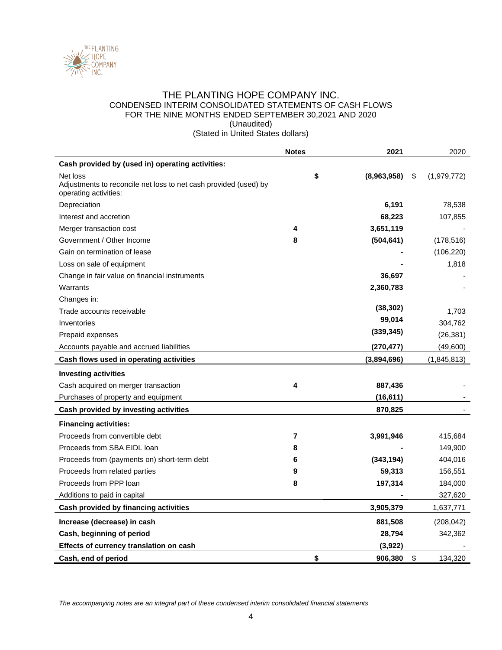

## THE PLANTING HOPE COMPANY INC. CONDENSED INTERIM CONSOLIDATED STATEMENTS OF CASH FLOWS FOR THE NINE MONTHS ENDED SEPTEMBER 30,2021 AND 2020 (Unaudited)

(Stated in United States dollars)

|                                                                                                       | <b>Notes</b>   | 2021        | 2020              |
|-------------------------------------------------------------------------------------------------------|----------------|-------------|-------------------|
| Cash provided by (used in) operating activities:                                                      |                |             |                   |
| Net loss<br>Adjustments to reconcile net loss to net cash provided (used) by<br>operating activities: | \$             | (8,963,958) | \$<br>(1,979,772) |
| Depreciation                                                                                          |                | 6,191       | 78,538            |
| Interest and accretion                                                                                |                | 68,223      | 107,855           |
| Merger transaction cost                                                                               | 4              | 3,651,119   |                   |
| Government / Other Income                                                                             | 8              | (504, 641)  | (178, 516)        |
| Gain on termination of lease                                                                          |                |             | (106, 220)        |
| Loss on sale of equipment                                                                             |                |             | 1,818             |
| Change in fair value on financial instruments                                                         |                | 36,697      |                   |
| Warrants                                                                                              |                | 2,360,783   |                   |
| Changes in:                                                                                           |                |             |                   |
| Trade accounts receivable                                                                             |                | (38, 302)   | 1,703             |
| Inventories                                                                                           |                | 99,014      | 304,762           |
| Prepaid expenses                                                                                      |                | (339, 345)  | (26, 381)         |
| Accounts payable and accrued liabilities                                                              |                | (270, 477)  | (49,600)          |
| Cash flows used in operating activities                                                               |                | (3,894,696) | (1,845,813)       |
| <b>Investing activities</b>                                                                           |                |             |                   |
| Cash acquired on merger transaction                                                                   | 4              | 887,436     |                   |
| Purchases of property and equipment                                                                   |                | (16, 611)   |                   |
| Cash provided by investing activities                                                                 |                | 870,825     |                   |
| <b>Financing activities:</b>                                                                          |                |             |                   |
| Proceeds from convertible debt                                                                        | $\overline{7}$ | 3,991,946   | 415,684           |
| Proceeds from SBA EIDL loan                                                                           | 8              |             | 149,900           |
| Proceeds from (payments on) short-term debt                                                           | 6              | (343, 194)  | 404,016           |
| Proceeds from related parties                                                                         | 9              | 59,313      | 156,551           |
| Proceeds from PPP loan                                                                                | 8              | 197,314     | 184,000           |
| Additions to paid in capital                                                                          |                |             | 327,620           |
| Cash provided by financing activities                                                                 |                | 3,905,379   | 1,637,771         |
| Increase (decrease) in cash                                                                           |                | 881,508     | (208, 042)        |
| Cash, beginning of period                                                                             |                | 28,794      | 342,362           |
| Effects of currency translation on cash                                                               |                | (3,922)     |                   |
| Cash, end of period                                                                                   | \$             | 906,380     | \$<br>134,320     |

*The accompanying notes are an integral part of these condensed interim consolidated financial statements*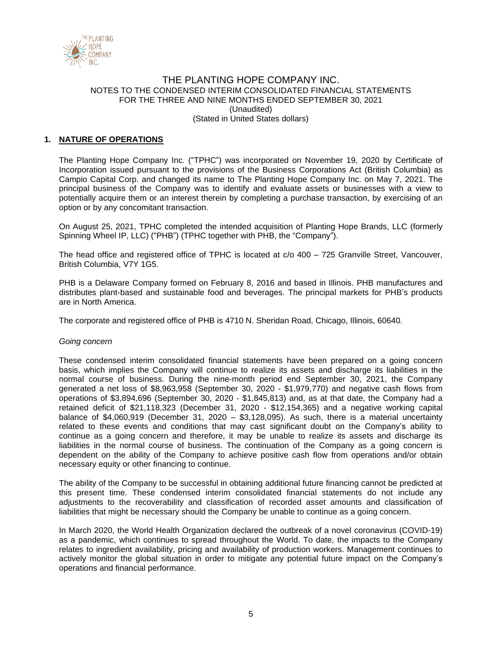

# **1. NATURE OF OPERATIONS**

The Planting Hope Company Inc. ("TPHC") was incorporated on November 19, 2020 by Certificate of Incorporation issued pursuant to the provisions of the Business Corporations Act (British Columbia) as Campio Capital Corp. and changed its name to The Planting Hope Company Inc. on May 7, 2021. The principal business of the Company was to identify and evaluate assets or businesses with a view to potentially acquire them or an interest therein by completing a purchase transaction, by exercising of an option or by any concomitant transaction.

On August 25, 2021, TPHC completed the intended acquisition of Planting Hope Brands, LLC (formerly Spinning Wheel IP, LLC) ("PHB") (TPHC together with PHB, the "Company").

The head office and registered office of TPHC is located at c/o 400 – 725 Granville Street, Vancouver, British Columbia, V7Y 1G5.

PHB is a Delaware Company formed on February 8, 2016 and based in Illinois. PHB manufactures and distributes plant-based and sustainable food and beverages. The principal markets for PHB's products are in North America.

The corporate and registered office of PHB is 4710 N. Sheridan Road, Chicago, Illinois, 60640.

### *Going concern*

These condensed interim consolidated financial statements have been prepared on a going concern basis, which implies the Company will continue to realize its assets and discharge its liabilities in the normal course of business. During the nine-month period end September 30, 2021, the Company generated a net loss of \$8,963,958 (September 30, 2020 - \$1,979,770) and negative cash flows from operations of \$3,894,696 (September 30, 2020 - \$1,845,813) and, as at that date, the Company had a retained deficit of \$21,118,323 (December 31, 2020 - \$12,154,365) and a negative working capital balance of \$4,060,919 (December 31, 2020 – \$3,128,095). As such, there is a material uncertainty related to these events and conditions that may cast significant doubt on the Company's ability to continue as a going concern and therefore, it may be unable to realize its assets and discharge its liabilities in the normal course of business. The continuation of the Company as a going concern is dependent on the ability of the Company to achieve positive cash flow from operations and/or obtain necessary equity or other financing to continue.

The ability of the Company to be successful in obtaining additional future financing cannot be predicted at this present time. These condensed interim consolidated financial statements do not include any adjustments to the recoverability and classification of recorded asset amounts and classification of liabilities that might be necessary should the Company be unable to continue as a going concern.

In March 2020, the World Health Organization declared the outbreak of a novel coronavirus (COVID-19) as a pandemic, which continues to spread throughout the World. To date, the impacts to the Company relates to ingredient availability, pricing and availability of production workers. Management continues to actively monitor the global situation in order to mitigate any potential future impact on the Company's operations and financial performance.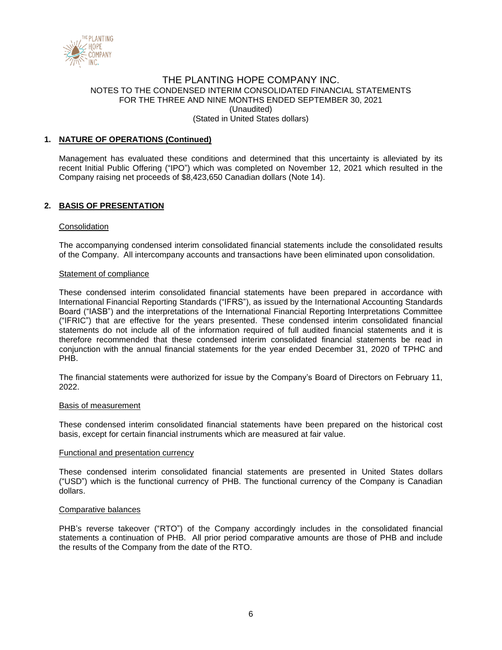

## **1. NATURE OF OPERATIONS (Continued)**

Management has evaluated these conditions and determined that this uncertainty is alleviated by its recent Initial Public Offering ("IPO") which was completed on November 12, 2021 which resulted in the Company raising net proceeds of \$8,423,650 Canadian dollars (Note 14).

## **2. BASIS OF PRESENTATION**

#### **Consolidation**

The accompanying condensed interim consolidated financial statements include the consolidated results of the Company. All intercompany accounts and transactions have been eliminated upon consolidation.

#### Statement of compliance

These condensed interim consolidated financial statements have been prepared in accordance with International Financial Reporting Standards ("IFRS"), as issued by the International Accounting Standards Board ("IASB") and the interpretations of the International Financial Reporting Interpretations Committee ("IFRIC") that are effective for the years presented. These condensed interim consolidated financial statements do not include all of the information required of full audited financial statements and it is therefore recommended that these condensed interim consolidated financial statements be read in conjunction with the annual financial statements for the year ended December 31, 2020 of TPHC and PHB.

The financial statements were authorized for issue by the Company's Board of Directors on February 11, 2022.

#### Basis of measurement

These condensed interim consolidated financial statements have been prepared on the historical cost basis, except for certain financial instruments which are measured at fair value.

#### Functional and presentation currency

These condensed interim consolidated financial statements are presented in United States dollars ("USD") which is the functional currency of PHB. The functional currency of the Company is Canadian dollars.

#### Comparative balances

PHB's reverse takeover ("RTO") of the Company accordingly includes in the consolidated financial statements a continuation of PHB. All prior period comparative amounts are those of PHB and include the results of the Company from the date of the RTO.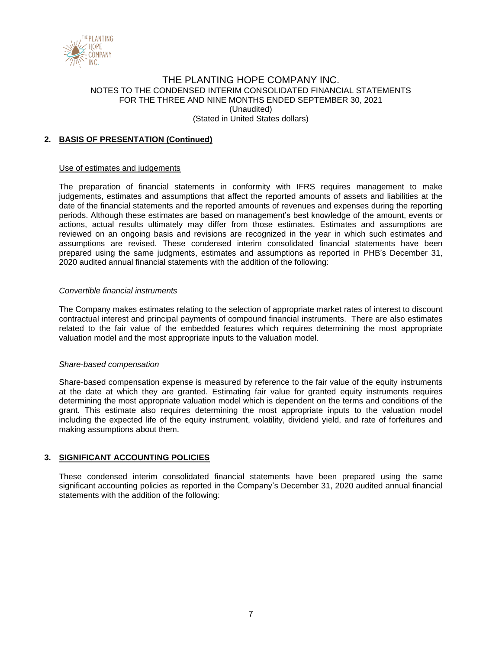

# **2. BASIS OF PRESENTATION (Continued)**

### Use of estimates and judgements

The preparation of financial statements in conformity with IFRS requires management to make judgements, estimates and assumptions that affect the reported amounts of assets and liabilities at the date of the financial statements and the reported amounts of revenues and expenses during the reporting periods. Although these estimates are based on management's best knowledge of the amount, events or actions, actual results ultimately may differ from those estimates. Estimates and assumptions are reviewed on an ongoing basis and revisions are recognized in the year in which such estimates and assumptions are revised. These condensed interim consolidated financial statements have been prepared using the same judgments, estimates and assumptions as reported in PHB's December 31, 2020 audited annual financial statements with the addition of the following:

### *Convertible financial instruments*

The Company makes estimates relating to the selection of appropriate market rates of interest to discount contractual interest and principal payments of compound financial instruments. There are also estimates related to the fair value of the embedded features which requires determining the most appropriate valuation model and the most appropriate inputs to the valuation model.

### *Share-based compensation*

Share-based compensation expense is measured by reference to the fair value of the equity instruments at the date at which they are granted. Estimating fair value for granted equity instruments requires determining the most appropriate valuation model which is dependent on the terms and conditions of the grant. This estimate also requires determining the most appropriate inputs to the valuation model including the expected life of the equity instrument, volatility, dividend yield, and rate of forfeitures and making assumptions about them.

# **3. SIGNIFICANT ACCOUNTING POLICIES**

These condensed interim consolidated financial statements have been prepared using the same significant accounting policies as reported in the Company's December 31, 2020 audited annual financial statements with the addition of the following: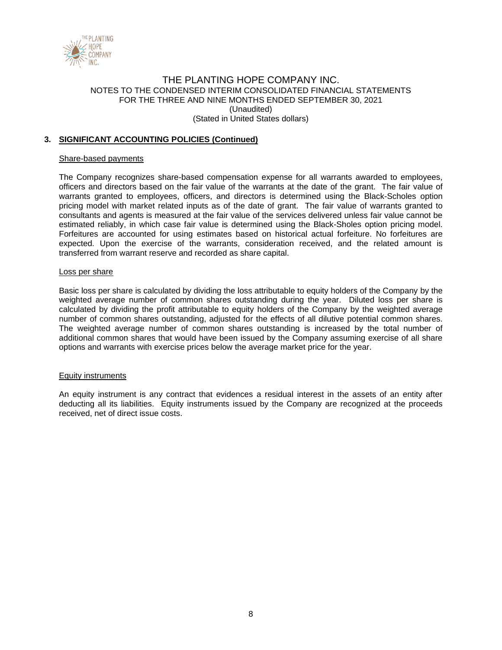

# **3. SIGNIFICANT ACCOUNTING POLICIES (Continued)**

#### Share-based payments

The Company recognizes share-based compensation expense for all warrants awarded to employees, officers and directors based on the fair value of the warrants at the date of the grant. The fair value of warrants granted to employees, officers, and directors is determined using the Black-Scholes option pricing model with market related inputs as of the date of grant. The fair value of warrants granted to consultants and agents is measured at the fair value of the services delivered unless fair value cannot be estimated reliably, in which case fair value is determined using the Black-Sholes option pricing model. Forfeitures are accounted for using estimates based on historical actual forfeiture. No forfeitures are expected. Upon the exercise of the warrants, consideration received, and the related amount is transferred from warrant reserve and recorded as share capital.

#### Loss per share

Basic loss per share is calculated by dividing the loss attributable to equity holders of the Company by the weighted average number of common shares outstanding during the year. Diluted loss per share is calculated by dividing the profit attributable to equity holders of the Company by the weighted average number of common shares outstanding, adjusted for the effects of all dilutive potential common shares. The weighted average number of common shares outstanding is increased by the total number of additional common shares that would have been issued by the Company assuming exercise of all share options and warrants with exercise prices below the average market price for the year.

#### Equity instruments

An equity instrument is any contract that evidences a residual interest in the assets of an entity after deducting all its liabilities. Equity instruments issued by the Company are recognized at the proceeds received, net of direct issue costs.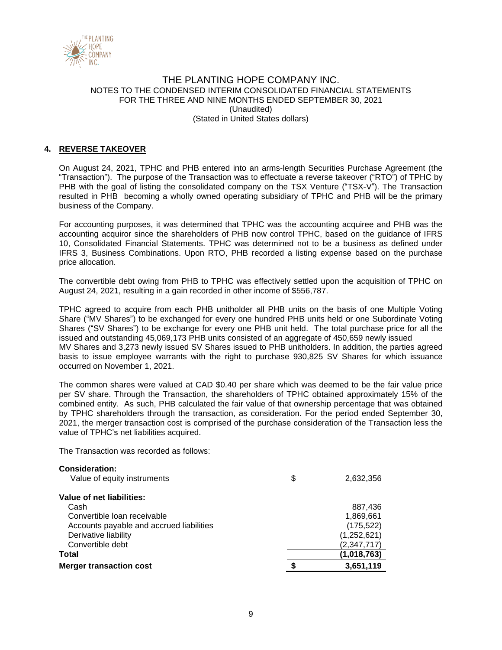

# **4. REVERSE TAKEOVER**

On August 24, 2021, TPHC and PHB entered into an arms-length Securities Purchase Agreement (the "Transaction"). The purpose of the Transaction was to effectuate a reverse takeover ("RTO") of TPHC by PHB with the goal of listing the consolidated company on the TSX Venture ("TSX-V"). The Transaction resulted in PHB becoming a wholly owned operating subsidiary of TPHC and PHB will be the primary business of the Company.

For accounting purposes, it was determined that TPHC was the accounting acquiree and PHB was the accounting acquiror since the shareholders of PHB now control TPHC, based on the guidance of IFRS 10, Consolidated Financial Statements. TPHC was determined not to be a business as defined under IFRS 3, Business Combinations. Upon RTO, PHB recorded a listing expense based on the purchase price allocation.

The convertible debt owing from PHB to TPHC was effectively settled upon the acquisition of TPHC on August 24, 2021, resulting in a gain recorded in other income of \$556,787.

TPHC agreed to acquire from each PHB unitholder all PHB units on the basis of one Multiple Voting Share ("MV Shares") to be exchanged for every one hundred PHB units held or one Subordinate Voting Shares ("SV Shares") to be exchange for every one PHB unit held. The total purchase price for all the issued and outstanding 45,069,173 PHB units consisted of an aggregate of 450,659 newly issued MV Shares and 3,273 newly issued SV Shares issued to PHB unitholders. In addition, the parties agreed basis to issue employee warrants with the right to purchase 930,825 SV Shares for which issuance occurred on November 1, 2021.

The common shares were valued at CAD \$0.40 per share which was deemed to be the fair value price per SV share. Through the Transaction, the shareholders of TPHC obtained approximately 15% of the combined entity. As such, PHB calculated the fair value of that ownership percentage that was obtained by TPHC shareholders through the transaction, as consideration. For the period ended September 30, 2021, the merger transaction cost is comprised of the purchase consideration of the Transaction less the value of TPHC's net liabilities acquired.

The Transaction was recorded as follows:

| <b>Consideration:</b>                    |                 |
|------------------------------------------|-----------------|
| Value of equity instruments              | \$<br>2,632,356 |
| Value of net liabilities:                |                 |
| Cash                                     | 887,436         |
| Convertible loan receivable              | 1,869,661       |
| Accounts payable and accrued liabilities | (175, 522)      |
| Derivative liability                     | (1,252,621)     |
| Convertible debt                         | (2,347,717)     |
| Total                                    | (1,018,763)     |
| <b>Merger transaction cost</b>           | 3,651,119       |
|                                          |                 |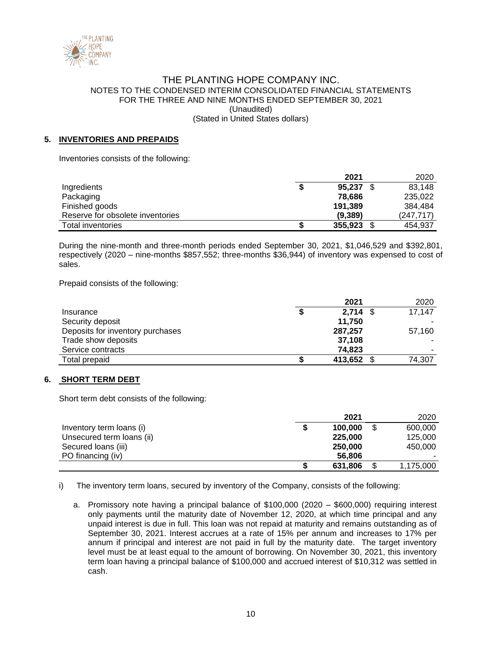

# **5. INVENTORIES AND PREPAIDS**

Inventories consists of the following:

|                                  | 2021    | 2020      |
|----------------------------------|---------|-----------|
| Ingredients                      | 95.237  | 83,148    |
| Packaging                        | 78.686  | 235,022   |
| Finished goods                   | 191,389 | 384.484   |
| Reserve for obsolete inventories | (9.389) | (247.717) |
| Total inventories                | 355,923 | 454.937   |

During the nine-month and three-month periods ended September 30, 2021, \$1,046,529 and \$392,801, respectively (2020 – nine-months \$857,552; three-months \$36,944) of inventory was expensed to cost of sales.

Prepaid consists of the following:

|                                  | 2021       | 2020   |
|----------------------------------|------------|--------|
| Insurance                        | $2,714$ \$ | 17,147 |
| Security deposit                 | 11.750     |        |
| Deposits for inventory purchases | 287,257    | 57,160 |
| Trade show deposits              | 37.108     |        |
| Service contracts                | 74.823     |        |
| Total prepaid                    | 413,652 \$ | 74,307 |

### **6. SHORT TERM DEBT**

Short term debt consists of the following:

|                           |   | 2021    | 2020            |
|---------------------------|---|---------|-----------------|
| Inventory term loans (i)  | S | 100,000 | \$<br>600,000   |
| Unsecured term loans (ii) |   | 225,000 | 125,000         |
| Secured Ioans (iii)       |   | 250,000 | 450,000         |
| PO financing (iv)         |   | 56,806  |                 |
|                           | S | 631,806 | \$<br>1,175,000 |

i) The inventory term loans, secured by inventory of the Company, consists of the following:

a. Promissory note having a principal balance of \$100,000 (2020 – \$600,000) requiring interest only payments until the maturity date of November 12, 2020, at which time principal and any unpaid interest is due in full. This loan was not repaid at maturity and remains outstanding as of September 30, 2021. Interest accrues at a rate of 15% per annum and increases to 17% per annum if principal and interest are not paid in full by the maturity date. The target inventory level must be at least equal to the amount of borrowing. On November 30, 2021, this inventory term loan having a principal balance of \$100,000 and accrued interest of \$10,312 was settled in cash.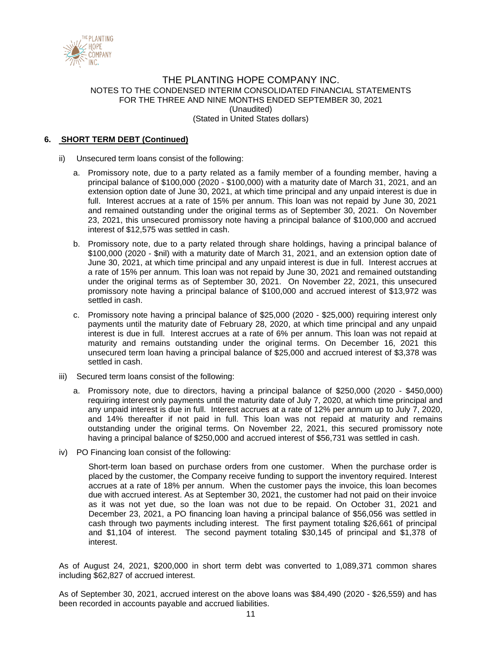

# **6. SHORT TERM DEBT (Continued)**

- ii) Unsecured term loans consist of the following:
	- a. Promissory note, due to a party related as a family member of a founding member, having a principal balance of \$100,000 (2020 - \$100,000) with a maturity date of March 31, 2021, and an extension option date of June 30, 2021, at which time principal and any unpaid interest is due in full. Interest accrues at a rate of 15% per annum. This loan was not repaid by June 30, 2021 and remained outstanding under the original terms as of September 30, 2021. On November 23, 2021, this unsecured promissory note having a principal balance of \$100,000 and accrued interest of \$12,575 was settled in cash.
	- b. Promissory note, due to a party related through share holdings, having a principal balance of \$100,000 (2020 - \$nil) with a maturity date of March 31, 2021, and an extension option date of June 30, 2021, at which time principal and any unpaid interest is due in full. Interest accrues at a rate of 15% per annum. This loan was not repaid by June 30, 2021 and remained outstanding under the original terms as of September 30, 2021. On November 22, 2021, this unsecured promissory note having a principal balance of \$100,000 and accrued interest of \$13,972 was settled in cash.
	- c. Promissory note having a principal balance of \$25,000 (2020 \$25,000) requiring interest only payments until the maturity date of February 28, 2020, at which time principal and any unpaid interest is due in full. Interest accrues at a rate of 6% per annum. This loan was not repaid at maturity and remains outstanding under the original terms. On December 16, 2021 this unsecured term loan having a principal balance of \$25,000 and accrued interest of \$3,378 was settled in cash.
- iii) Secured term loans consist of the following:
	- a. Promissory note, due to directors, having a principal balance of \$250,000 (2020 \$450,000) requiring interest only payments until the maturity date of July 7, 2020, at which time principal and any unpaid interest is due in full. Interest accrues at a rate of 12% per annum up to July 7, 2020, and 14% thereafter if not paid in full. This loan was not repaid at maturity and remains outstanding under the original terms. On November 22, 2021, this secured promissory note having a principal balance of \$250,000 and accrued interest of \$56,731 was settled in cash.
- iv) PO Financing loan consist of the following:

Short-term loan based on purchase orders from one customer. When the purchase order is placed by the customer, the Company receive funding to support the inventory required. Interest accrues at a rate of 18% per annum. When the customer pays the invoice, this loan becomes due with accrued interest. As at September 30, 2021, the customer had not paid on their invoice as it was not yet due, so the loan was not due to be repaid. On October 31, 2021 and December 23, 2021, a PO financing loan having a principal balance of \$56,056 was settled in cash through two payments including interest. The first payment totaling \$26,661 of principal and \$1,104 of interest. The second payment totaling \$30,145 of principal and \$1,378 of interest.

As of August 24, 2021, \$200,000 in short term debt was converted to 1,089,371 common shares including \$62,827 of accrued interest.

As of September 30, 2021, accrued interest on the above loans was \$84,490 (2020 - \$26,559) and has been recorded in accounts payable and accrued liabilities.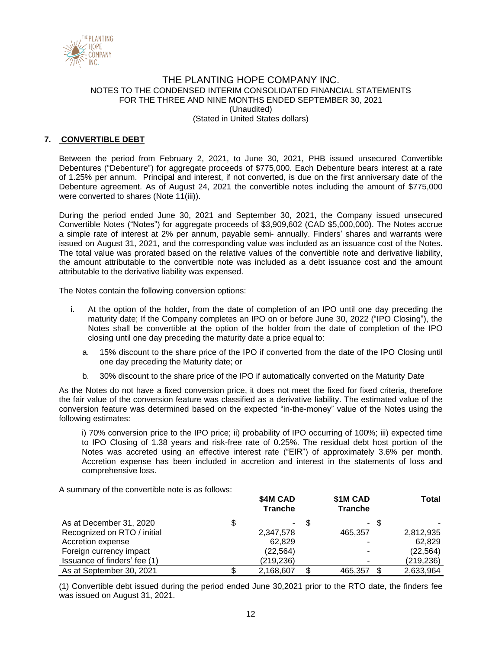

# **7. CONVERTIBLE DEBT**

Between the period from February 2, 2021, to June 30, 2021, PHB issued unsecured Convertible Debentures ("Debenture") for aggregate proceeds of \$775,000. Each Debenture bears interest at a rate of 1.25% per annum. Principal and interest, if not converted, is due on the first anniversary date of the Debenture agreement. As of August 24, 2021 the convertible notes including the amount of \$775,000 were converted to shares (Note 11(iii)).

During the period ended June 30, 2021 and September 30, 2021, the Company issued unsecured Convertible Notes ("Notes") for aggregate proceeds of \$3,909,602 (CAD \$5,000,000). The Notes accrue a simple rate of interest at 2% per annum, payable semi- annually. Finders' shares and warrants were issued on August 31, 2021, and the corresponding value was included as an issuance cost of the Notes. The total value was prorated based on the relative values of the convertible note and derivative liability, the amount attributable to the convertible note was included as a debt issuance cost and the amount attributable to the derivative liability was expensed.

The Notes contain the following conversion options:

- i. At the option of the holder, from the date of completion of an IPO until one day preceding the maturity date; If the Company completes an IPO on or before June 30, 2022 ("IPO Closing"), the Notes shall be convertible at the option of the holder from the date of completion of the IPO closing until one day preceding the maturity date a price equal to:
	- a. 15% discount to the share price of the IPO if converted from the date of the IPO Closing until one day preceding the Maturity date; or
	- b. 30% discount to the share price of the IPO if automatically converted on the Maturity Date

As the Notes do not have a fixed conversion price, it does not meet the fixed for fixed criteria, therefore the fair value of the conversion feature was classified as a derivative liability. The estimated value of the conversion feature was determined based on the expected "in-the-money" value of the Notes using the following estimates:

i) 70% conversion price to the IPO price; ii) probability of IPO occurring of 100%; iii) expected time to IPO Closing of 1.38 years and risk-free rate of 0.25%. The residual debt host portion of the Notes was accreted using an effective interest rate ("EIR") of approximately 3.6% per month. Accretion expense has been included in accretion and interest in the statements of loss and comprehensive loss.

A summary of the convertible note is as follows:

|                              | \$4M CAD<br><b>Tranche</b> |    | \$1M CAD<br><b>Tranche</b> |     | Total     |
|------------------------------|----------------------------|----|----------------------------|-----|-----------|
| As at December 31, 2020      | \$                         | -S | $\sim$                     | \$. |           |
| Recognized on RTO / initial  | 2,347,578                  |    | 465.357                    |     | 2,812,935 |
| Accretion expense            | 62.829                     |    |                            |     | 62.829    |
| Foreign currency impact      | (22, 564)                  |    |                            |     | (22, 564) |
| Issuance of finders' fee (1) | (219,236)                  |    |                            |     | (219,236) |
| As at September 30, 2021     | 2,168,607                  | \$ | 465,357                    |     | 2,633,964 |

(1) Convertible debt issued during the period ended June 30,2021 prior to the RTO date, the finders fee was issued on August 31, 2021.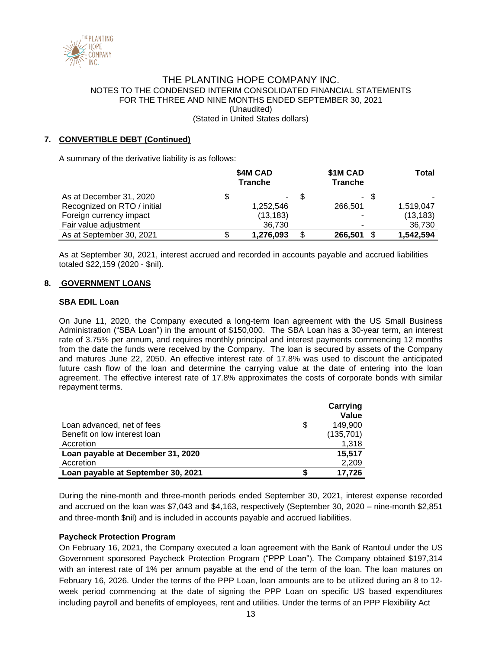

# **7. CONVERTIBLE DEBT (Continued)**

A summary of the derivative liability is as follows:

|                             | \$4M CAD<br><b>Tranche</b> |      | \$1M CAD<br><b>Tranche</b> |      | Total     |
|-----------------------------|----------------------------|------|----------------------------|------|-----------|
| As at December 31, 2020     | $\sim$                     | - \$ |                            | - \$ |           |
| Recognized on RTO / initial | 1,252,546                  |      | 266.501                    |      | 1,519,047 |
| Foreign currency impact     | (13, 183)                  |      | $\overline{\phantom{a}}$   |      | (13, 183) |
| Fair value adjustment       | 36.730                     |      |                            |      | 36.730    |
| As at September 30, 2021    | 1,276,093                  | \$   | 266,501                    | \$.  | 1,542,594 |

As at September 30, 2021, interest accrued and recorded in accounts payable and accrued liabilities totaled \$22,159 (2020 - \$nil).

## **8. GOVERNMENT LOANS**

#### **SBA EDIL Loan**

On June 11, 2020, the Company executed a long-term loan agreement with the US Small Business Administration ("SBA Loan") in the amount of \$150,000. The SBA Loan has a 30-year term, an interest rate of 3.75% per annum, and requires monthly principal and interest payments commencing 12 months from the date the funds were received by the Company. The loan is secured by assets of the Company and matures June 22, 2050. An effective interest rate of 17.8% was used to discount the anticipated future cash flow of the loan and determine the carrying value at the date of entering into the loan agreement. The effective interest rate of 17.8% approximates the costs of corporate bonds with similar repayment terms.

|                                    | Carrying<br>Value |
|------------------------------------|-------------------|
| Loan advanced, net of fees         | \$<br>149.900     |
| Benefit on low interest loan       | (135, 701)        |
| Accretion                          | 1.318             |
| Loan payable at December 31, 2020  | 15,517            |
| Accretion                          | 2,209             |
| Loan payable at September 30, 2021 | 17.726            |

During the nine-month and three-month periods ended September 30, 2021, interest expense recorded and accrued on the loan was \$7,043 and \$4,163, respectively (September 30, 2020 – nine-month \$2,851 and three-month \$nil) and is included in accounts payable and accrued liabilities.

### **Paycheck Protection Program**

On February 16, 2021, the Company executed a loan agreement with the Bank of Rantoul under the US Government sponsored Paycheck Protection Program ("PPP Loan"). The Company obtained \$197,314 with an interest rate of 1% per annum payable at the end of the term of the loan. The loan matures on February 16, 2026. Under the terms of the PPP Loan, loan amounts are to be utilized during an 8 to 12 week period commencing at the date of signing the PPP Loan on specific US based expenditures including payroll and benefits of employees, rent and utilities. Under the terms of an PPP Flexibility Act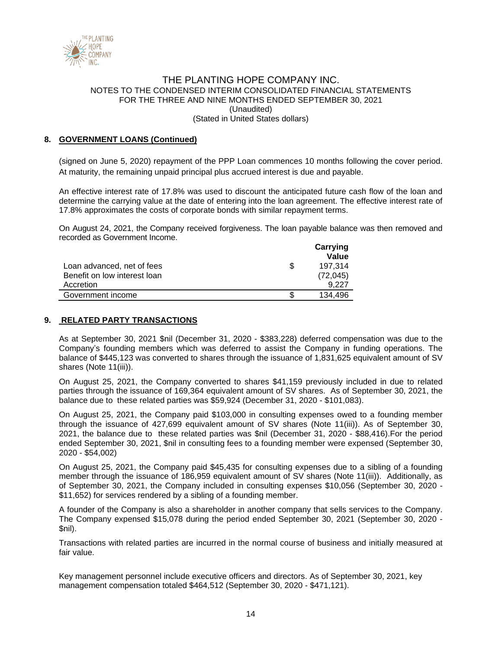

# **8. GOVERNMENT LOANS (Continued)**

(signed on June 5, 2020) repayment of the PPP Loan commences 10 months following the cover period. At maturity, the remaining unpaid principal plus accrued interest is due and payable.

An effective interest rate of 17.8% was used to discount the anticipated future cash flow of the loan and determine the carrying value at the date of entering into the loan agreement. The effective interest rate of 17.8% approximates the costs of corporate bonds with similar repayment terms.

On August 24, 2021, the Company received forgiveness. The loan payable balance was then removed and recorded as Government Income.

|                              | Carrying<br>Value |
|------------------------------|-------------------|
| Loan advanced, net of fees   | 197.314           |
| Benefit on low interest loan | (72, 045)         |
| Accretion                    | 9.227             |
| Government income            | 134.496           |

### **9. RELATED PARTY TRANSACTIONS**

As at September 30, 2021 \$nil (December 31, 2020 - \$383,228) deferred compensation was due to the Company's founding members which was deferred to assist the Company in funding operations. The balance of \$445,123 was converted to shares through the issuance of 1,831,625 equivalent amount of SV shares (Note 11(iii)).

On August 25, 2021, the Company converted to shares \$41,159 previously included in due to related parties through the issuance of 169,364 equivalent amount of SV shares. As of September 30, 2021, the balance due to these related parties was \$59,924 (December 31, 2020 - \$101,083).

On August 25, 2021, the Company paid \$103,000 in consulting expenses owed to a founding member through the issuance of 427,699 equivalent amount of SV shares (Note 11(iii)). As of September 30, 2021, the balance due to these related parties was \$nil (December 31, 2020 - \$88,416).For the period ended September 30, 2021, \$nil in consulting fees to a founding member were expensed (September 30, 2020 - \$54,002)

On August 25, 2021, the Company paid \$45,435 for consulting expenses due to a sibling of a founding member through the issuance of 186,959 equivalent amount of SV shares (Note 11(iii)). Additionally, as of September 30, 2021, the Company included in consulting expenses \$10,056 (September 30, 2020 - \$11,652) for services rendered by a sibling of a founding member.

A founder of the Company is also a shareholder in another company that sells services to the Company. The Company expensed \$15,078 during the period ended September 30, 2021 (September 30, 2020 - \$nil).

Transactions with related parties are incurred in the normal course of business and initially measured at fair value.

Key management personnel include executive officers and directors. As of September 30, 2021, key management compensation totaled \$464,512 (September 30, 2020 - \$471,121).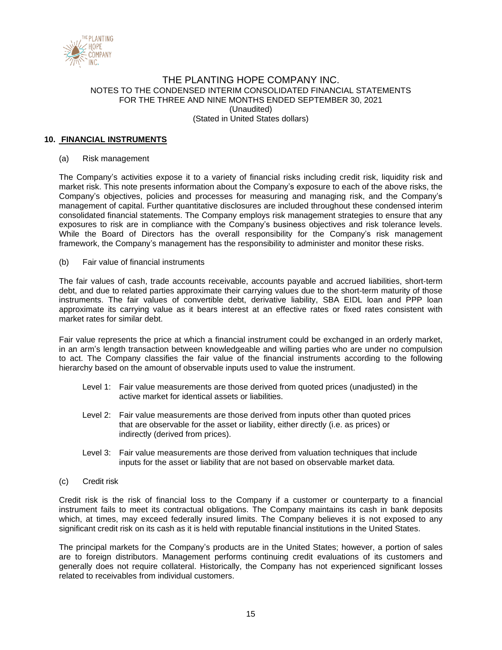

## **10. FINANCIAL INSTRUMENTS**

### (a) Risk management

The Company's activities expose it to a variety of financial risks including credit risk, liquidity risk and market risk. This note presents information about the Company's exposure to each of the above risks, the Company's objectives, policies and processes for measuring and managing risk, and the Company's management of capital. Further quantitative disclosures are included throughout these condensed interim consolidated financial statements. The Company employs risk management strategies to ensure that any exposures to risk are in compliance with the Company's business objectives and risk tolerance levels. While the Board of Directors has the overall responsibility for the Company's risk management framework, the Company's management has the responsibility to administer and monitor these risks.

(b) Fair value of financial instruments

The fair values of cash, trade accounts receivable, accounts payable and accrued liabilities, short-term debt, and due to related parties approximate their carrying values due to the short-term maturity of those instruments. The fair values of convertible debt, derivative liability, SBA EIDL loan and PPP loan approximate its carrying value as it bears interest at an effective rates or fixed rates consistent with market rates for similar debt.

Fair value represents the price at which a financial instrument could be exchanged in an orderly market, in an arm's length transaction between knowledgeable and willing parties who are under no compulsion to act. The Company classifies the fair value of the financial instruments according to the following hierarchy based on the amount of observable inputs used to value the instrument.

- Level 1: Fair value measurements are those derived from quoted prices (unadjusted) in the active market for identical assets or liabilities.
- Level 2: Fair value measurements are those derived from inputs other than quoted prices that are observable for the asset or liability, either directly (i.e. as prices) or indirectly (derived from prices).
- Level 3: Fair value measurements are those derived from valuation techniques that include inputs for the asset or liability that are not based on observable market data.
- (c) Credit risk

Credit risk is the risk of financial loss to the Company if a customer or counterparty to a financial instrument fails to meet its contractual obligations. The Company maintains its cash in bank deposits which, at times, may exceed federally insured limits. The Company believes it is not exposed to any significant credit risk on its cash as it is held with reputable financial institutions in the United States.

The principal markets for the Company's products are in the United States; however, a portion of sales are to foreign distributors. Management performs continuing credit evaluations of its customers and generally does not require collateral. Historically, the Company has not experienced significant losses related to receivables from individual customers.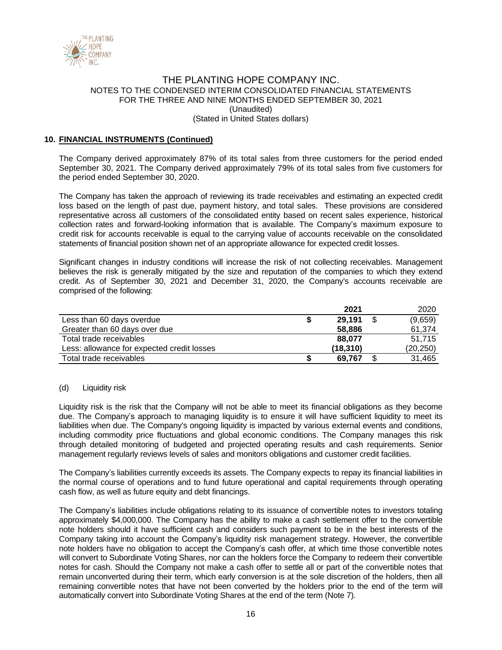

## **10. FINANCIAL INSTRUMENTS (Continued)**

The Company derived approximately 87% of its total sales from three customers for the period ended September 30, 2021. The Company derived approximately 79% of its total sales from five customers for the period ended September 30, 2020.

The Company has taken the approach of reviewing its trade receivables and estimating an expected credit loss based on the length of past due, payment history, and total sales. These provisions are considered representative across all customers of the consolidated entity based on recent sales experience, historical collection rates and forward-looking information that is available. The Company's maximum exposure to credit risk for accounts receivable is equal to the carrying value of accounts receivable on the consolidated statements of financial position shown net of an appropriate allowance for expected credit losses.

Significant changes in industry conditions will increase the risk of not collecting receivables. Management believes the risk is generally mitigated by the size and reputation of the companies to which they extend credit. As of September 30, 2021 and December 31, 2020, the Company's accounts receivable are comprised of the following:

|                                            | 2021      | 2020          |
|--------------------------------------------|-----------|---------------|
| Less than 60 days overdue                  | 29,191    | \$<br>(9,659) |
| Greater than 60 days over due              | 58,886    | 61,374        |
| Total trade receivables                    | 88.077    | 51.715        |
| Less: allowance for expected credit losses | (18, 310) | (20,250)      |
| Total trade receivables                    | 69,767    | 31,465        |

### (d) Liquidity risk

Liquidity risk is the risk that the Company will not be able to meet its financial obligations as they become due. The Company's approach to managing liquidity is to ensure it will have sufficient liquidity to meet its liabilities when due. The Company's ongoing liquidity is impacted by various external events and conditions, including commodity price fluctuations and global economic conditions. The Company manages this risk through detailed monitoring of budgeted and projected operating results and cash requirements. Senior management regularly reviews levels of sales and monitors obligations and customer credit facilities.

The Company's liabilities currently exceeds its assets. The Company expects to repay its financial liabilities in the normal course of operations and to fund future operational and capital requirements through operating cash flow, as well as future equity and debt financings.

The Company's liabilities include obligations relating to its issuance of convertible notes to investors totaling approximately \$4,000,000. The Company has the ability to make a cash settlement offer to the convertible note holders should it have sufficient cash and considers such payment to be in the best interests of the Company taking into account the Company's liquidity risk management strategy. However, the convertible note holders have no obligation to accept the Company's cash offer, at which time those convertible notes will convert to Subordinate Voting Shares, nor can the holders force the Company to redeem their convertible notes for cash. Should the Company not make a cash offer to settle all or part of the convertible notes that remain unconverted during their term, which early conversion is at the sole discretion of the holders, then all remaining convertible notes that have not been converted by the holders prior to the end of the term will automatically convert into Subordinate Voting Shares at the end of the term (Note 7).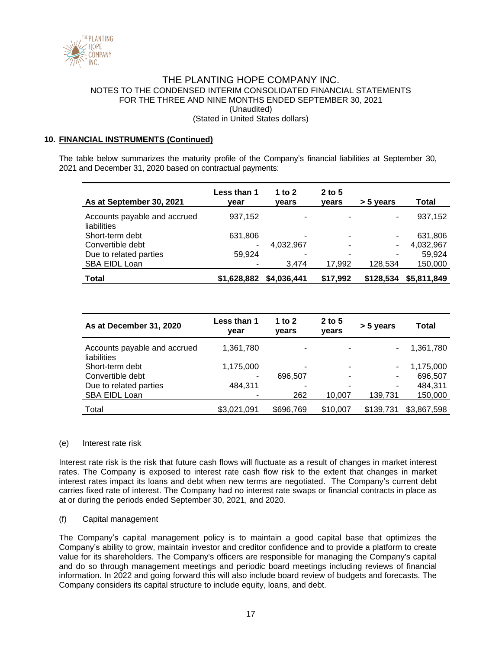

### **10. FINANCIAL INSTRUMENTS (Continued)**

The table below summarizes the maturity profile of the Company's financial liabilities at September 30, 2021 and December 31, 2020 based on contractual payments:

| As at September 30, 2021                    | Less than 1<br>vear | 1 to 2<br>vears | $2$ to 5<br>vears | > 5 years | Total       |
|---------------------------------------------|---------------------|-----------------|-------------------|-----------|-------------|
| Accounts payable and accrued<br>liabilities | 937,152             |                 |                   | ۰         | 937,152     |
| Short-term debt                             | 631,806             |                 |                   | ۰.        | 631,806     |
| Convertible debt                            | ۰                   | 4,032,967       | ۰                 |           | 4,032,967   |
| Due to related parties                      | 59.924              |                 |                   | ۰         | 59.924      |
| SBA EIDL Loan                               |                     | 3.474           | 17,992            | 128.534   | 150,000     |
| <b>Total</b>                                | \$1,628,882         | \$4,036,441     | \$17,992          | \$128,534 | \$5,811,849 |

| As at December 31, 2020                     | Less than 1<br>vear | 1 to 2<br>vears | $2$ to 5<br>vears | > 5 years | Total       |
|---------------------------------------------|---------------------|-----------------|-------------------|-----------|-------------|
| Accounts payable and accrued<br>liabilities | 1,361,780           |                 |                   | ۰         | 1,361,780   |
| Short-term debt                             | 1,175,000           |                 |                   | ۰.        | 1,175,000   |
| Convertible debt                            | ۰                   | 696.507         |                   | ۰         | 696,507     |
| Due to related parties                      | 484.311             |                 |                   | ۰         | 484.311     |
| SBA EIDL Loan                               | $\blacksquare$      | 262             | 10,007            | 139,731   | 150,000     |
| Total                                       | \$3,021,091         | \$696,769       | \$10,007          | \$139,731 | \$3,867,598 |

### (e) Interest rate risk

Interest rate risk is the risk that future cash flows will fluctuate as a result of changes in market interest rates. The Company is exposed to interest rate cash flow risk to the extent that changes in market interest rates impact its loans and debt when new terms are negotiated. The Company's current debt carries fixed rate of interest. The Company had no interest rate swaps or financial contracts in place as at or during the periods ended September 30, 2021, and 2020.

### (f) Capital management

The Company's capital management policy is to maintain a good capital base that optimizes the Company's ability to grow, maintain investor and creditor confidence and to provide a platform to create value for its shareholders. The Company's officers are responsible for managing the Company's capital and do so through management meetings and periodic board meetings including reviews of financial information. In 2022 and going forward this will also include board review of budgets and forecasts. The Company considers its capital structure to include equity, loans, and debt.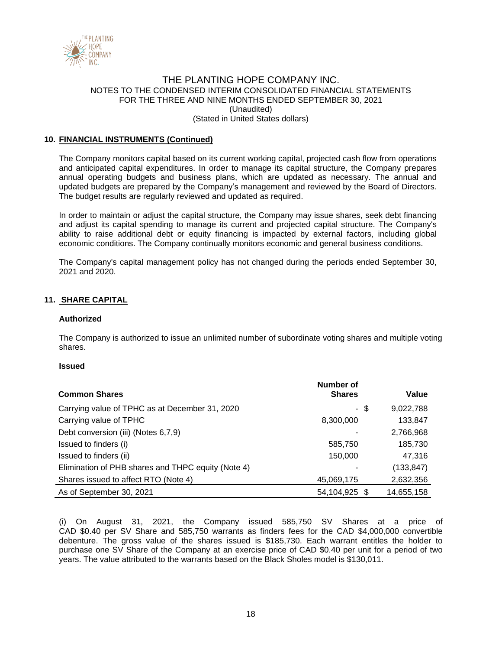

## **10. FINANCIAL INSTRUMENTS (Continued)**

The Company monitors capital based on its current working capital, projected cash flow from operations and anticipated capital expenditures. In order to manage its capital structure, the Company prepares annual operating budgets and business plans, which are updated as necessary. The annual and updated budgets are prepared by the Company's management and reviewed by the Board of Directors. The budget results are regularly reviewed and updated as required.

In order to maintain or adjust the capital structure, the Company may issue shares, seek debt financing and adjust its capital spending to manage its current and projected capital structure. The Company's ability to raise additional debt or equity financing is impacted by external factors, including global economic conditions. The Company continually monitors economic and general business conditions.

The Company's capital management policy has not changed during the periods ended September 30, 2021 and 2020.

## **11. SHARE CAPITAL**

#### **Authorized**

The Company is authorized to issue an unlimited number of subordinate voting shares and multiple voting shares.

#### **Issued**

|                                                    | Number of     |      |            |
|----------------------------------------------------|---------------|------|------------|
| <b>Common Shares</b>                               | <b>Shares</b> |      | Value      |
| Carrying value of TPHC as at December 31, 2020     |               | - \$ | 9,022,788  |
| Carrying value of TPHC                             | 8,300,000     |      | 133,847    |
| Debt conversion (iii) (Notes 6,7,9)                |               |      | 2,766,968  |
| Issued to finders (i)                              | 585,750       |      | 185,730    |
| Issued to finders (ii)                             | 150,000       |      | 47,316     |
| Elimination of PHB shares and THPC equity (Note 4) |               |      | (133, 847) |
| Shares issued to affect RTO (Note 4)               | 45,069,175    |      | 2,632,356  |
| As of September 30, 2021                           | 54,104,925 \$ |      | 14,655,158 |

(i) On August 31, 2021, the Company issued 585,750 SV Shares at a price of CAD \$0.40 per SV Share and 585,750 warrants as finders fees for the CAD \$4,000,000 convertible debenture. The gross value of the shares issued is \$185,730. Each warrant entitles the holder to purchase one SV Share of the Company at an exercise price of CAD \$0.40 per unit for a period of two years. The value attributed to the warrants based on the Black Sholes model is \$130,011.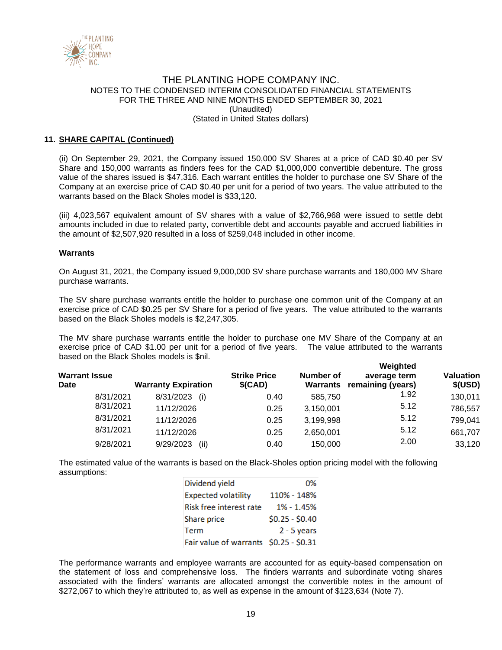

# **11. SHARE CAPITAL (Continued)**

(ii) On September 29, 2021, the Company issued 150,000 SV Shares at a price of CAD \$0.40 per SV Share and 150,000 warrants as finders fees for the CAD \$1,000,000 convertible debenture. The gross value of the shares issued is \$47,316. Each warrant entitles the holder to purchase one SV Share of the Company at an exercise price of CAD \$0.40 per unit for a period of two years. The value attributed to the warrants based on the Black Sholes model is \$33,120.

(iii) 4,023,567 equivalent amount of SV shares with a value of \$2,766,968 were issued to settle debt amounts included in due to related party, convertible debt and accounts payable and accrued liabilities in the amount of \$2,507,920 resulted in a loss of \$259,048 included in other income.

#### **Warrants**

On August 31, 2021, the Company issued 9,000,000 SV share purchase warrants and 180,000 MV Share purchase warrants.

The SV share purchase warrants entitle the holder to purchase one common unit of the Company at an exercise price of CAD \$0.25 per SV Share for a period of five years. The value attributed to the warrants based on the Black Sholes models is \$2,247,305.

The MV share purchase warrants entitle the holder to purchase one MV Share of the Company at an exercise price of CAD \$1.00 per unit for a period of five years. The value attributed to the warrants based on the Black Sholes models is \$nil. **Weighted** 

| <b>Warrant Issue</b><br>Date | <b>Warranty Expiration</b> | <b>Strike Price</b><br>\$(CAD) | Number of<br>Warrants | <i>v</i> eignted<br>average term<br>remaining (years) | <b>Valuation</b><br>\$(USD) |
|------------------------------|----------------------------|--------------------------------|-----------------------|-------------------------------------------------------|-----------------------------|
| 8/31/2021                    | 8/31/2023<br>(i)           | 0.40                           | 585.750               | 1.92                                                  | 130,011                     |
| 8/31/2021                    | 11/12/2026                 | 0.25                           | 3,150,001             | 5.12                                                  | 786,557                     |
| 8/31/2021                    | 11/12/2026                 | 0.25                           | 3,199,998             | 5.12                                                  | 799,041                     |
| 8/31/2021                    | 11/12/2026                 | 0.25                           | 2,650,001             | 5.12                                                  | 661,707                     |
| 9/28/2021                    | 9/29/2023<br>(ii)          | 0.40                           | 150,000               | 2.00                                                  | 33,120                      |

The estimated value of the warrants is based on the Black-Sholes option pricing model with the following assumptions:

| Dividend yield                         | 0%              |
|----------------------------------------|-----------------|
| <b>Expected volatility</b>             | 110% - 148%     |
| Risk free interest rate                | 1% - 1.45%      |
| Share price                            | $$0.25 - $0.40$ |
| Term                                   | $2 - 5$ years   |
| Fair value of warrants \$0.25 - \$0.31 |                 |

The performance warrants and employee warrants are accounted for as equity-based compensation on the statement of loss and comprehensive loss. The finders warrants and subordinate voting shares associated with the finders' warrants are allocated amongst the convertible notes in the amount of \$272,067 to which they're attributed to, as well as expense in the amount of \$123,634 (Note 7).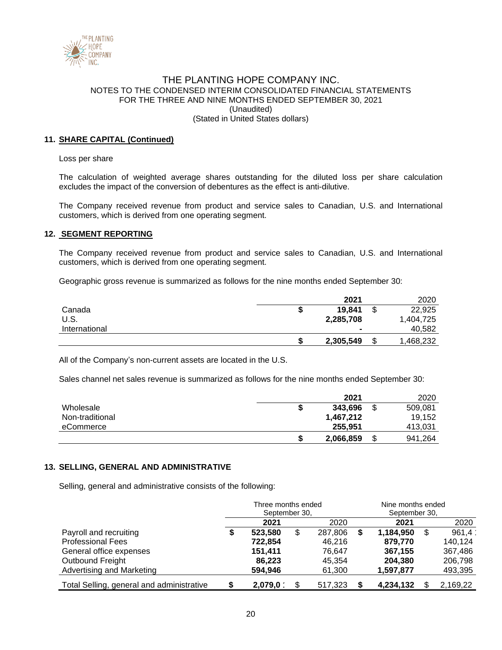

# **11. SHARE CAPITAL (Continued)**

Loss per share

The calculation of weighted average shares outstanding for the diluted loss per share calculation excludes the impact of the conversion of debentures as the effect is anti-dilutive.

The Company received revenue from product and service sales to Canadian, U.S. and International customers, which is derived from one operating segment.

### **12. SEGMENT REPORTING**

The Company received revenue from product and service sales to Canadian, U.S. and International customers, which is derived from one operating segment.

Geographic gross revenue is summarized as follows for the nine months ended September 30:

|               | 2021           | 2020            |
|---------------|----------------|-----------------|
| Canada        | 19.841         | \$<br>22,925    |
| U.S.          | 2,285,708      | 1,404,725       |
| International | $\blacksquare$ | 40,582          |
|               | 2,305,549      | \$<br>1,468,232 |

All of the Company's non-current assets are located in the U.S.

Sales channel net sales revenue is summarized as follows for the nine months ended September 30:

|                 |   | 2021      | 2020          |
|-----------------|---|-----------|---------------|
| Wholesale       | D | 343.696   | \$<br>509.081 |
| Non-traditional |   | 1.467.212 | 19.152        |
| eCommerce       |   | 255.951   | 413,031       |
|                 |   | 2,066,859 | 941.264       |

### **13. SELLING, GENERAL AND ADMINISTRATIVE**

Selling, general and administrative consists of the following:

|                                           | Three months ended<br>September 30, |         |    | Nine months ended<br>September 30, |              |   |          |  |
|-------------------------------------------|-------------------------------------|---------|----|------------------------------------|--------------|---|----------|--|
|                                           | 2021<br>2020                        |         |    |                                    | 2020<br>2021 |   |          |  |
| Payroll and recruiting                    | จ                                   | 523.580 | \$ | 287,806                            | 1.184.950    | S | 961.4    |  |
| <b>Professional Fees</b>                  |                                     | 722,854 |    | 46.216                             | 879.770      |   | 140,124  |  |
| General office expenses                   |                                     | 151,411 |    | 76.647                             | 367.155      |   | 367,486  |  |
| Outbound Freight                          |                                     | 86.223  |    | 45.354                             | 204.380      |   | 206,798  |  |
| Advertising and Marketing                 |                                     | 594.946 |    | 61,300                             | 1,597,877    |   | 493,395  |  |
| Total Selling, general and administrative |                                     | 2,079,0 |    | 517,323                            | 4,234,132    |   | 2,169,22 |  |